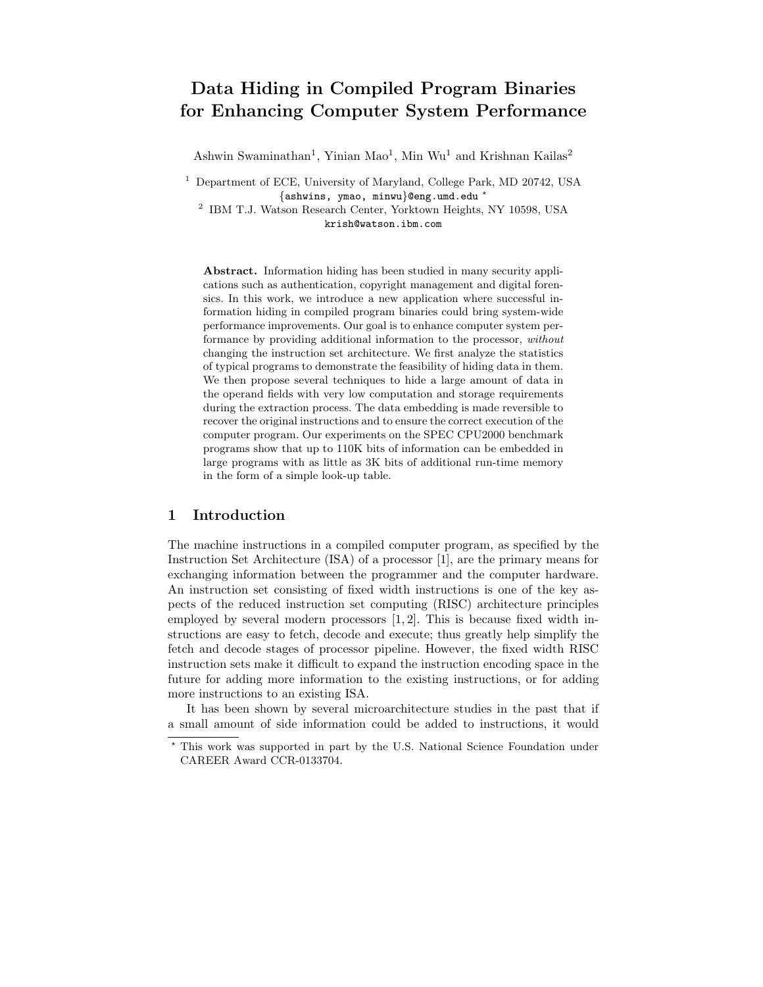# **Data Hiding in Compiled Program Binaries for Enhancing Computer System Performance**

Ashwin Swaminathan<sup>1</sup>, Yinian Mao<sup>1</sup>, Min Wu<sup>1</sup> and Krishnan Kailas<sup>2</sup>

<sup>1</sup> Department of ECE, University of Maryland, College Park, MD 20742, USA {ashwins, ymao, minwu}@eng.umd.edu -

<sup>2</sup> IBM T.J. Watson Research Center, Yorktown Heights, NY 10598, USA krish@watson.ibm.com

**Abstract.** Information hiding has been studied in many security applications such as authentication, copyright management and digital forensics. In this work, we introduce a new application where successful information hiding in compiled program binaries could bring system-wide performance improvements. Our goal is to enhance computer system performance by providing additional information to the processor, *without* changing the instruction set architecture. We first analyze the statistics of typical programs to demonstrate the feasibility of hiding data in them. We then propose several techniques to hide a large amount of data in the operand fields with very low computation and storage requirements during the extraction process. The data embedding is made reversible to recover the original instructions and to ensure the correct execution of the computer program. Our experiments on the SPEC CPU2000 benchmark programs show that up to 110K bits of information can be embedded in large programs with as little as 3K bits of additional run-time memory in the form of a simple look-up table.

## **1 Introduction**

The machine instructions in a compiled computer program, as specified by the Instruction Set Architecture (ISA) of a processor [1], are the primary means for exchanging information between the programmer and the computer hardware. An instruction set consisting of fixed width instructions is one of the key aspects of the reduced instruction set computing (RISC) architecture principles employed by several modern processors  $[1, 2]$ . This is because fixed width instructions are easy to fetch, decode and execute; thus greatly help simplify the fetch and decode stages of processor pipeline. However, the fixed width RISC instruction sets make it difficult to expand the instruction encoding space in the future for adding more information to the existing instructions, or for adding more instructions to an existing ISA.

It has been shown by several microarchitecture studies in the past that if a small amount of side information could be added to instructions, it would

 $\star$  This work was supported in part by the U.S. National Science Foundation under CAREER Award CCR-0133704.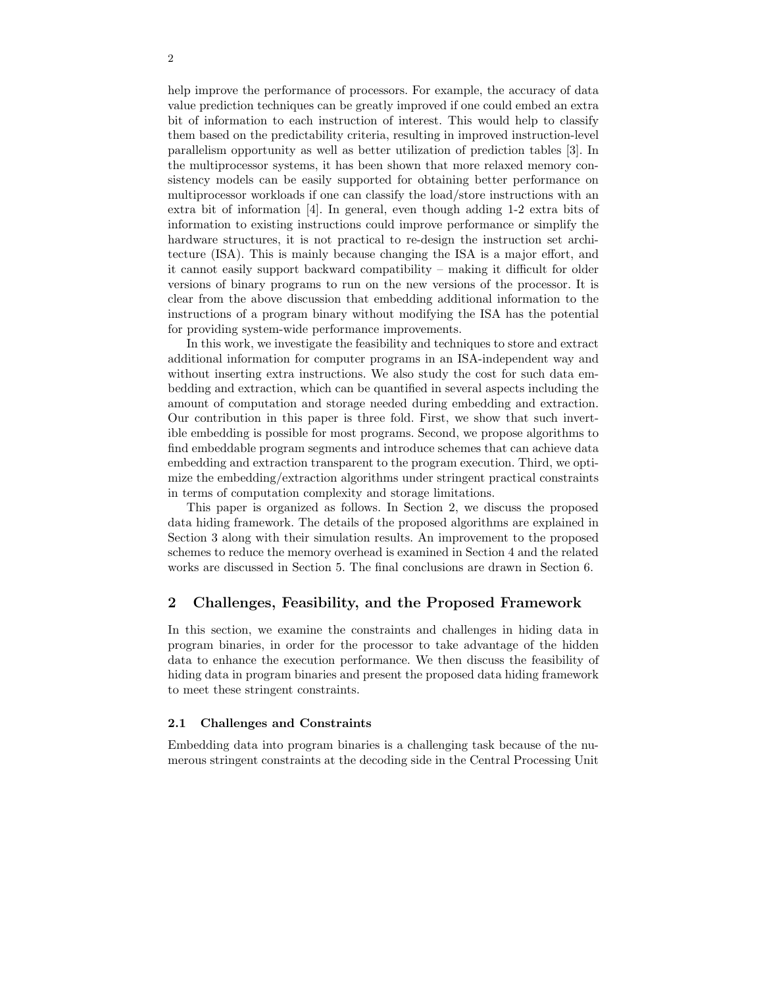help improve the performance of processors. For example, the accuracy of data value prediction techniques can be greatly improved if one could embed an extra bit of information to each instruction of interest. This would help to classify them based on the predictability criteria, resulting in improved instruction-level parallelism opportunity as well as better utilization of prediction tables [3]. In the multiprocessor systems, it has been shown that more relaxed memory consistency models can be easily supported for obtaining better performance on multiprocessor workloads if one can classify the load/store instructions with an extra bit of information [4]. In general, even though adding 1-2 extra bits of information to existing instructions could improve performance or simplify the hardware structures, it is not practical to re-design the instruction set architecture (ISA). This is mainly because changing the ISA is a major effort, and it cannot easily support backward compatibility – making it difficult for older versions of binary programs to run on the new versions of the processor. It is clear from the above discussion that embedding additional information to the instructions of a program binary without modifying the ISA has the potential for providing system-wide performance improvements.

In this work, we investigate the feasibility and techniques to store and extract additional information for computer programs in an ISA-independent way and without inserting extra instructions. We also study the cost for such data embedding and extraction, which can be quantified in several aspects including the amount of computation and storage needed during embedding and extraction. Our contribution in this paper is three fold. First, we show that such invertible embedding is possible for most programs. Second, we propose algorithms to find embeddable program segments and introduce schemes that can achieve data embedding and extraction transparent to the program execution. Third, we optimize the embedding/extraction algorithms under stringent practical constraints in terms of computation complexity and storage limitations.

This paper is organized as follows. In Section 2, we discuss the proposed data hiding framework. The details of the proposed algorithms are explained in Section 3 along with their simulation results. An improvement to the proposed schemes to reduce the memory overhead is examined in Section 4 and the related works are discussed in Section 5. The final conclusions are drawn in Section 6.

## **2 Challenges, Feasibility, and the Proposed Framework**

In this section, we examine the constraints and challenges in hiding data in program binaries, in order for the processor to take advantage of the hidden data to enhance the execution performance. We then discuss the feasibility of hiding data in program binaries and present the proposed data hiding framework to meet these stringent constraints.

## **2.1 Challenges and Constraints**

Embedding data into program binaries is a challenging task because of the numerous stringent constraints at the decoding side in the Central Processing Unit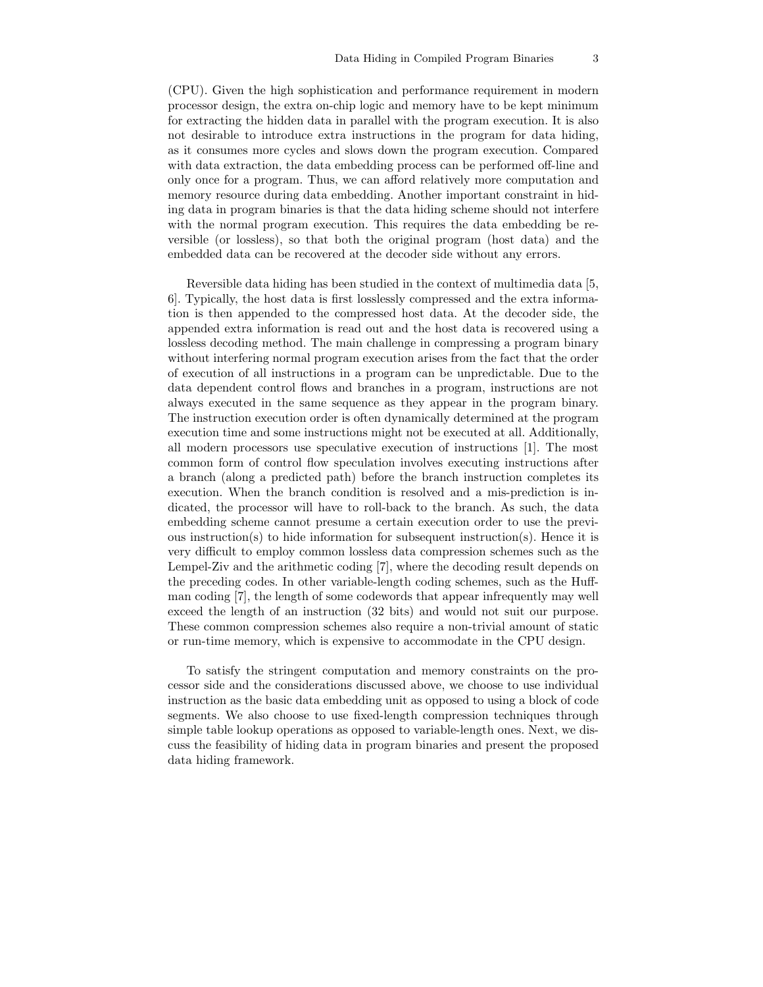(CPU). Given the high sophistication and performance requirement in modern processor design, the extra on-chip logic and memory have to be kept minimum for extracting the hidden data in parallel with the program execution. It is also not desirable to introduce extra instructions in the program for data hiding, as it consumes more cycles and slows down the program execution. Compared with data extraction, the data embedding process can be performed off-line and only once for a program. Thus, we can afford relatively more computation and memory resource during data embedding. Another important constraint in hiding data in program binaries is that the data hiding scheme should not interfere with the normal program execution. This requires the data embedding be reversible (or lossless), so that both the original program (host data) and the embedded data can be recovered at the decoder side without any errors.

Reversible data hiding has been studied in the context of multimedia data [5, 6]. Typically, the host data is first losslessly compressed and the extra information is then appended to the compressed host data. At the decoder side, the appended extra information is read out and the host data is recovered using a lossless decoding method. The main challenge in compressing a program binary without interfering normal program execution arises from the fact that the order of execution of all instructions in a program can be unpredictable. Due to the data dependent control flows and branches in a program, instructions are not always executed in the same sequence as they appear in the program binary. The instruction execution order is often dynamically determined at the program execution time and some instructions might not be executed at all. Additionally, all modern processors use speculative execution of instructions [1]. The most common form of control flow speculation involves executing instructions after a branch (along a predicted path) before the branch instruction completes its execution. When the branch condition is resolved and a mis-prediction is indicated, the processor will have to roll-back to the branch. As such, the data embedding scheme cannot presume a certain execution order to use the previous instruction(s) to hide information for subsequent instruction(s). Hence it is very difficult to employ common lossless data compression schemes such as the Lempel-Ziv and the arithmetic coding [7], where the decoding result depends on the preceding codes. In other variable-length coding schemes, such as the Huffman coding [7], the length of some codewords that appear infrequently may well exceed the length of an instruction (32 bits) and would not suit our purpose. These common compression schemes also require a non-trivial amount of static or run-time memory, which is expensive to accommodate in the CPU design.

To satisfy the stringent computation and memory constraints on the processor side and the considerations discussed above, we choose to use individual instruction as the basic data embedding unit as opposed to using a block of code segments. We also choose to use fixed-length compression techniques through simple table lookup operations as opposed to variable-length ones. Next, we discuss the feasibility of hiding data in program binaries and present the proposed data hiding framework.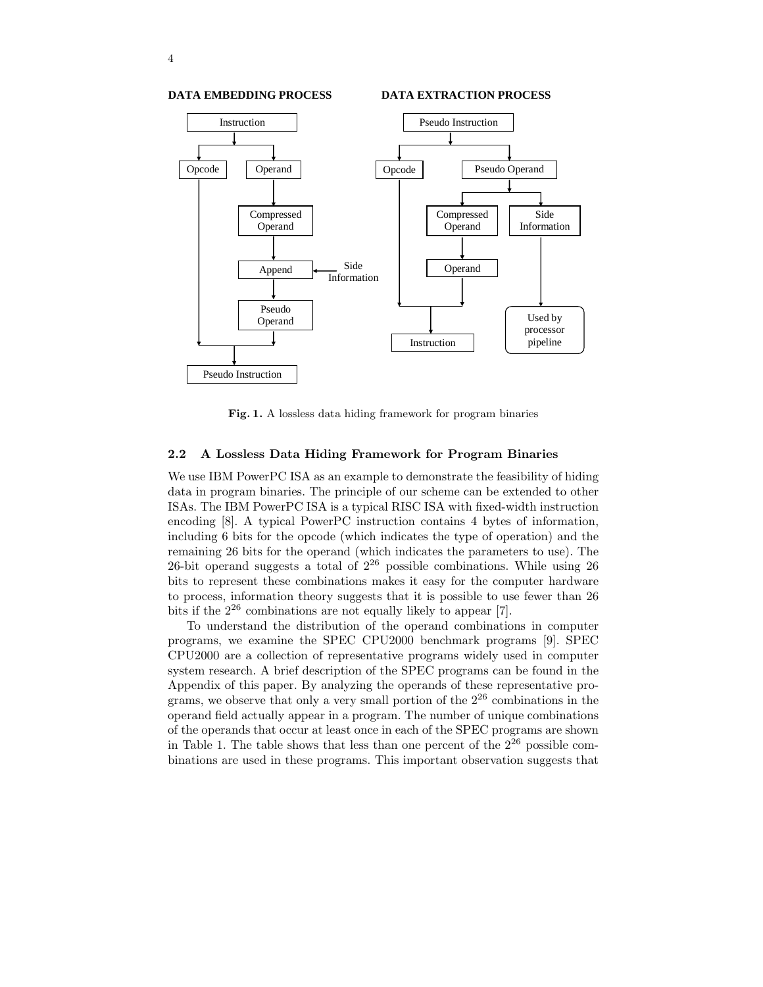#### **DATA EMBEDDING PROCESS**

#### **DATA EXTRACTION PROCESS**



**Fig. 1.** A lossless data hiding framework for program binaries

#### **2.2 A Lossless Data Hiding Framework for Program Binaries**

We use IBM PowerPC ISA as an example to demonstrate the feasibility of hiding data in program binaries. The principle of our scheme can be extended to other ISAs. The IBM PowerPC ISA is a typical RISC ISA with fixed-width instruction encoding [8]. A typical PowerPC instruction contains 4 bytes of information, including 6 bits for the opcode (which indicates the type of operation) and the remaining 26 bits for the operand (which indicates the parameters to use). The 26-bit operand suggests a total of  $2^{26}$  possible combinations. While using 26 bits to represent these combinations makes it easy for the computer hardware to process, information theory suggests that it is possible to use fewer than 26 bits if the  $2^{26}$  combinations are not equally likely to appear [7].

To understand the distribution of the operand combinations in computer programs, we examine the SPEC CPU2000 benchmark programs [9]. SPEC CPU2000 are a collection of representative programs widely used in computer system research. A brief description of the SPEC programs can be found in the Appendix of this paper. By analyzing the operands of these representative programs, we observe that only a very small portion of the  $2^{26}$  combinations in the operand field actually appear in a program. The number of unique combinations of the operands that occur at least once in each of the SPEC programs are shown in Table 1. The table shows that less than one percent of the  $2^{26}$  possible combinations are used in these programs. This important observation suggests that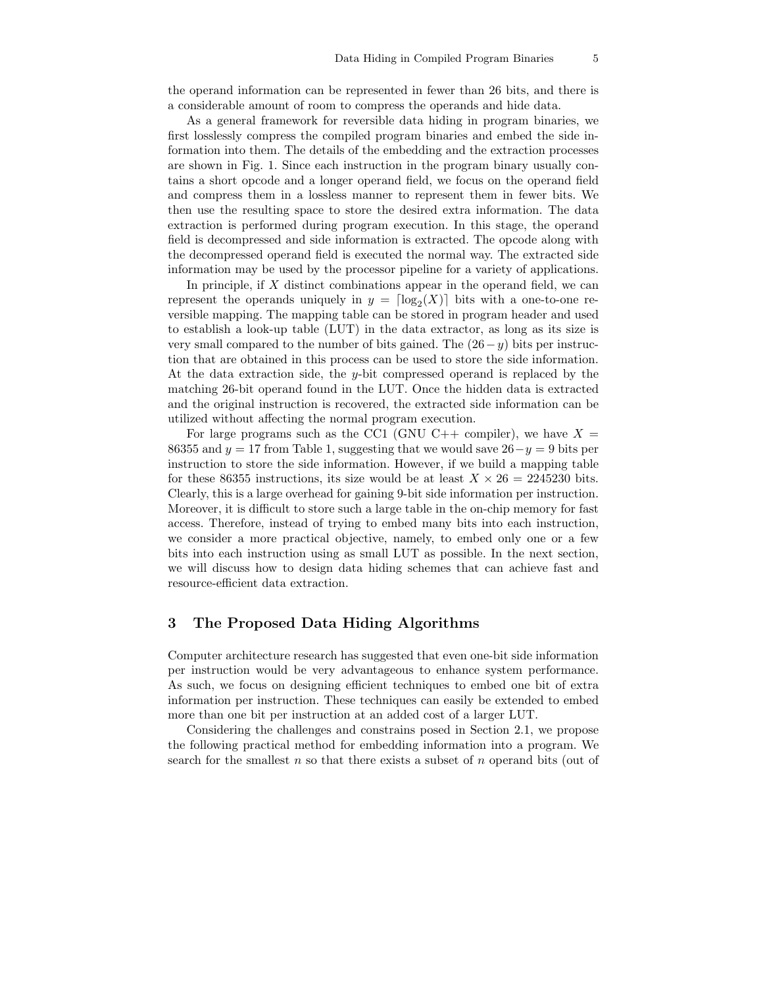the operand information can be represented in fewer than 26 bits, and there is a considerable amount of room to compress the operands and hide data.

As a general framework for reversible data hiding in program binaries, we first losslessly compress the compiled program binaries and embed the side information into them. The details of the embedding and the extraction processes are shown in Fig. 1. Since each instruction in the program binary usually contains a short opcode and a longer operand field, we focus on the operand field and compress them in a lossless manner to represent them in fewer bits. We then use the resulting space to store the desired extra information. The data extraction is performed during program execution. In this stage, the operand field is decompressed and side information is extracted. The opcode along with the decompressed operand field is executed the normal way. The extracted side information may be used by the processor pipeline for a variety of applications.

In principle, if  $X$  distinct combinations appear in the operand field, we can represent the operands uniquely in  $y = \lfloor \log_2(X) \rfloor$  bits with a one-to-one reversible mapping. The mapping table can be stored in program header and used to establish a look-up table (LUT) in the data extractor, as long as its size is very small compared to the number of bits gained. The  $(26 - y)$  bits per instruction that are obtained in this process can be used to store the side information. At the data extraction side, the y-bit compressed operand is replaced by the matching 26-bit operand found in the LUT. Once the hidden data is extracted and the original instruction is recovered, the extracted side information can be utilized without affecting the normal program execution.

For large programs such as the CC1 (GNU C++ compiler), we have  $X =$ 86355 and  $y = 17$  from Table 1, suggesting that we would save  $26 - y = 9$  bits per instruction to store the side information. However, if we build a mapping table for these 86355 instructions, its size would be at least  $X \times 26 = 2245230$  bits. Clearly, this is a large overhead for gaining 9-bit side information per instruction. Moreover, it is difficult to store such a large table in the on-chip memory for fast access. Therefore, instead of trying to embed many bits into each instruction, we consider a more practical objective, namely, to embed only one or a few bits into each instruction using as small LUT as possible. In the next section, we will discuss how to design data hiding schemes that can achieve fast and resource-efficient data extraction.

# **3 The Proposed Data Hiding Algorithms**

Computer architecture research has suggested that even one-bit side information per instruction would be very advantageous to enhance system performance. As such, we focus on designing efficient techniques to embed one bit of extra information per instruction. These techniques can easily be extended to embed more than one bit per instruction at an added cost of a larger LUT.

Considering the challenges and constrains posed in Section 2.1, we propose the following practical method for embedding information into a program. We search for the smallest  $n$  so that there exists a subset of  $n$  operand bits (out of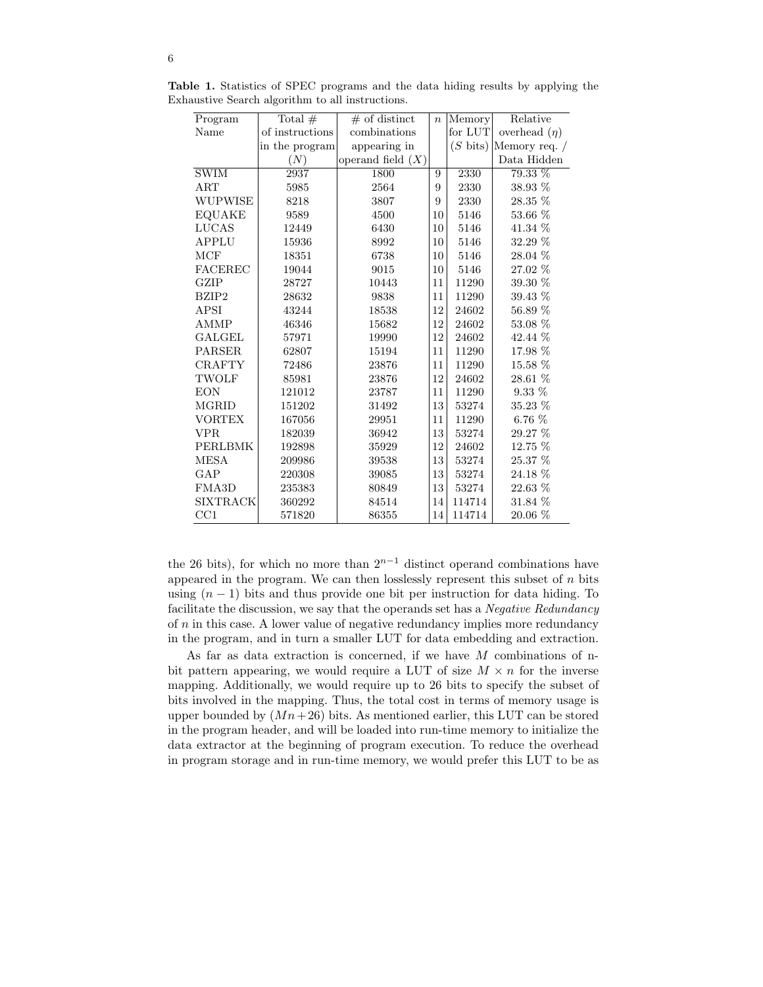| Program         | Total $#$       | $#$ of distinct     | $\boldsymbol{n}$ | Memory  | Relative                         |
|-----------------|-----------------|---------------------|------------------|---------|----------------------------------|
| Name            | of instructions | combinations        |                  | for LUT | overhead $(\eta)$                |
|                 | in the program  | appearing in        |                  |         | $(S \text{ bits})$ Memory req. / |
|                 | (N)             | operand field $(X)$ |                  |         | Data Hidden                      |
| <b>SWIM</b>     | 2937            | 1800                | 9                | 2330    | 79.33 %                          |
| ART             | 5985            | 2564                | 9                | 2330    | 38.93 %                          |
| <b>WUPWISE</b>  | 8218            | 3807                | 9                | 2330    | 28.35 %                          |
| <b>EQUAKE</b>   | 9589            | 4500                | 10               | 5146    | 53.66 %                          |
| <b>LUCAS</b>    | 12449           | 6430                | 10               | 5146    | 41.34 %                          |
| <b>APPLU</b>    | 15936           | 8992                | 10               | 5146    | 32.29 %                          |
| MCF             | 18351           | 6738                | 10               | 5146    | 28.04 %                          |
| <b>FACEREC</b>  | 19044           | 9015                | 10               | 5146    | 27.02 %                          |
| GZIP            | 28727           | 10443               | 11               | 11290   | $39.30~\%$                       |
| BZIP2           | 28632           | 9838                | 11               | 11290   | 39.43 %                          |
| <b>APSI</b>     | 43244           | 18538               | 12               | 24602   | 56.89 %                          |
| AMMP            | 46346           | 15682               | 12               | 24602   | 53.08 %                          |
| <b>GALGEL</b>   | 57971           | 19990               | 12               | 24602   | 42.44 %                          |
| <b>PARSER</b>   | 62807           | 15194               | 11               | 11290   | 17.98 %                          |
| <b>CRAFTY</b>   | 72486           | 23876               | 11               | 11290   | 15.58 %                          |
| <b>TWOLF</b>    | 85981           | 23876               | 12               | 24602   | 28.61 %                          |
| <b>EON</b>      | 121012          | 23787               | 11               | 11290   | $9.33\%$                         |
| <b>MGRID</b>    | 151202          | 31492               | 13               | 53274   | 35.23 %                          |
| <b>VORTEX</b>   | 167056          | 29951               | 11               | 11290   | $6.76~\%$                        |
| VPR.            | 182039          | 36942               | 13               | 53274   | 29.27 %                          |
| <b>PERLBMK</b>  | 192898          | 35929               | 12               | 24602   | 12.75 %                          |
| <b>MESA</b>     | 209986          | 39538               | 13               | 53274   | 25.37 %                          |
| GAP             | 220308          | 39085               | 13               | 53274   | 24.18 %                          |
| FMA3D           | 235383          | 80849               | 13               | 53274   | 22.63 %                          |
| <b>SIXTRACK</b> | 360292          | 84514               | 14               | 114714  | 31.84 %                          |
| CC1             | 571820          | 86355               | 14               | 114714  | $20.06\%$                        |

**Table 1.** Statistics of SPEC programs and the data hiding results by applying the Exhaustive Search algorithm to all instructions.

the 26 bits), for which no more than 2*<sup>n</sup>−*<sup>1</sup> distinct operand combinations have appeared in the program. We can then losslessly represent this subset of  $n$  bits using  $(n-1)$  bits and thus provide one bit per instruction for data hiding. To facilitate the discussion, we say that the operands set has a *Negative Redundancy* of  $n$  in this case. A lower value of negative redundancy implies more redundancy in the program, and in turn a smaller LUT for data embedding and extraction.

As far as data extraction is concerned, if we have M combinations of nbit pattern appearing, we would require a LUT of size  $M \times n$  for the inverse mapping. Additionally, we would require up to 26 bits to specify the subset of bits involved in the mapping. Thus, the total cost in terms of memory usage is upper bounded by  $(Mn+26)$  bits. As mentioned earlier, this LUT can be stored in the program header, and will be loaded into run-time memory to initialize the data extractor at the beginning of program execution. To reduce the overhead in program storage and in run-time memory, we would prefer this LUT to be as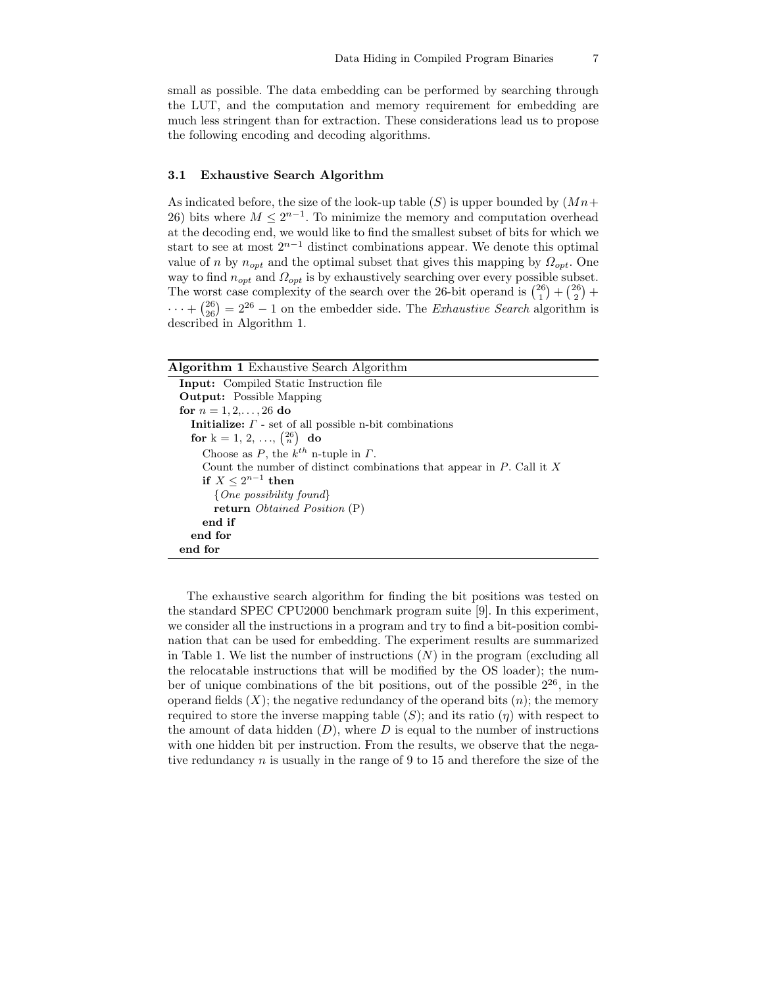small as possible. The data embedding can be performed by searching through the LUT, and the computation and memory requirement for embedding are much less stringent than for extraction. These considerations lead us to propose the following encoding and decoding algorithms.

#### **3.1 Exhaustive Search Algorithm**

As indicated before, the size of the look-up table  $(S)$  is upper bounded by  $(Mn+$ 26) bits where  $M \leq 2^{n-1}$ . To minimize the memory and computation overhead at the decoding end, we would like to find the smallest subset of bits for which we start to see at most  $2^{n-1}$  distinct combinations appear. We denote this optimal value of n by  $n_{opt}$  and the optimal subset that gives this mapping by  $\Omega_{opt}$ . One way to find n*opt* and Ω*opt* is by exhaustively searching over every possible subset. The worst case complexity of the search over the 26-bit operand is  $\binom{26}{1} + \binom{26}{2}$  $\cdots + \binom{26}{26} = 2^{26} - 1$  on the embedder side. The *Exhaustive Search* algorithm is described in Algorithm 1.

| <b>Algorithm 1</b> Exhaustive Search Algorithm                             |
|----------------------------------------------------------------------------|
| Input: Compiled Static Instruction file                                    |
| <b>Output:</b> Possible Mapping                                            |
| for $n = 1, 2, \ldots, 26$ do                                              |
| <b>Initialize:</b> $\Gamma$ - set of all possible n-bit combinations       |
| for $k = 1, 2, , {26 \choose n}$ do                                        |
| Choose as P, the $k^{th}$ n-tuple in $\Gamma$ .                            |
| Count the number of distinct combinations that appear in $P$ . Call it $X$ |
| if $X \leq 2^{n-1}$ then                                                   |
| { <i>One possibility found</i> }                                           |
| return Obtained Position $(P)$                                             |
| end if                                                                     |
| end for                                                                    |
| end for                                                                    |

The exhaustive search algorithm for finding the bit positions was tested on the standard SPEC CPU2000 benchmark program suite [9]. In this experiment, we consider all the instructions in a program and try to find a bit-position combination that can be used for embedding. The experiment results are summarized in Table 1. We list the number of instructions  $(N)$  in the program (excluding all the relocatable instructions that will be modified by the OS loader); the number of unique combinations of the bit positions, out of the possible  $2^{26}$ , in the operand fields  $(X)$ ; the negative redundancy of the operand bits  $(n)$ ; the memory required to store the inverse mapping table  $(S)$ ; and its ratio  $(\eta)$  with respect to the amount of data hidden  $(D)$ , where D is equal to the number of instructions with one hidden bit per instruction. From the results, we observe that the negative redundancy  $n$  is usually in the range of 9 to 15 and therefore the size of the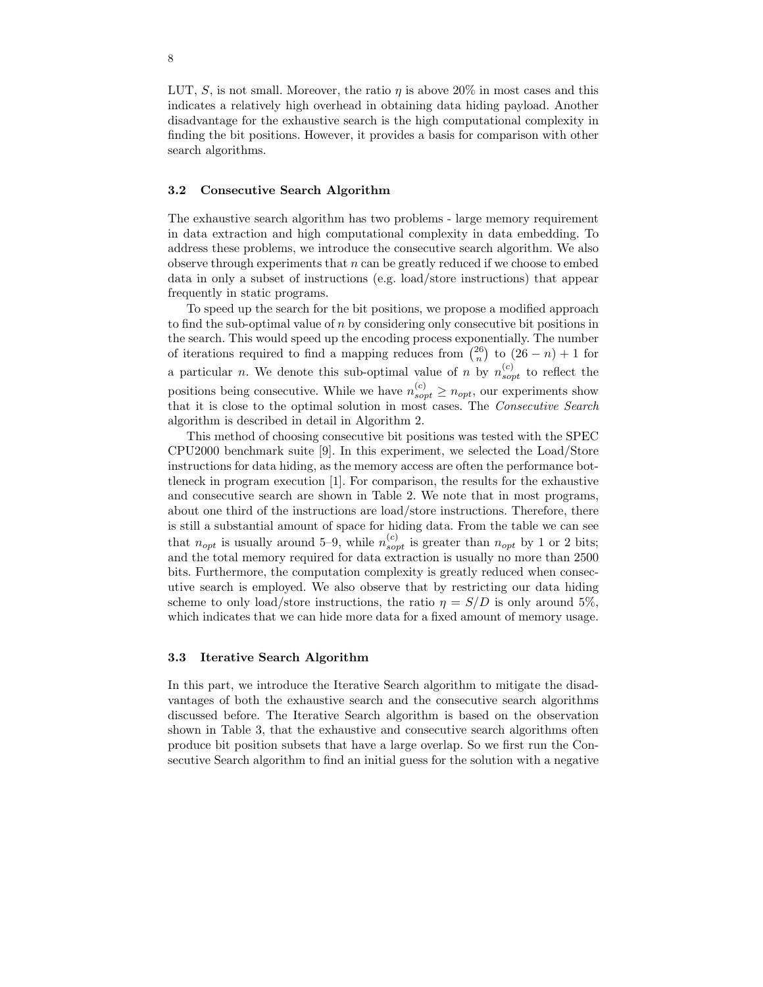LUT, S, is not small. Moreover, the ratio  $\eta$  is above 20% in most cases and this indicates a relatively high overhead in obtaining data hiding payload. Another disadvantage for the exhaustive search is the high computational complexity in finding the bit positions. However, it provides a basis for comparison with other search algorithms.

## **3.2 Consecutive Search Algorithm**

The exhaustive search algorithm has two problems - large memory requirement in data extraction and high computational complexity in data embedding. To address these problems, we introduce the consecutive search algorithm. We also observe through experiments that  $n$  can be greatly reduced if we choose to embed data in only a subset of instructions (e.g. load/store instructions) that appear frequently in static programs.

To speed up the search for the bit positions, we propose a modified approach to find the sub-optimal value of  $n$  by considering only consecutive bit positions in the search. This would speed up the encoding process exponentially. The number of iterations required to find a mapping reduces from  $\binom{26}{n}$  to  $(26 - n) + 1$  for a particular *n*. We denote this sub-optimal value of *n* by  $n_{sopt}^{(c)}$  to reflect the positions being consecutive. While we have  $n_{sopt}^{(c)} \ge n_{opt}$ , our experiments show that it is close to the optimal solution in most cases. The *Consecutive Search* algorithm is described in detail in Algorithm 2.

This method of choosing consecutive bit positions was tested with the SPEC CPU2000 benchmark suite [9]. In this experiment, we selected the Load/Store instructions for data hiding, as the memory access are often the performance bottleneck in program execution [1]. For comparison, the results for the exhaustive and consecutive search are shown in Table 2. We note that in most programs, about one third of the instructions are load/store instructions. Therefore, there is still a substantial amount of space for hiding data. From the table we can see that  $n_{opt}$  is usually around 5–9, while  $n_{opt}^{(c)}$  is greater than  $n_{opt}$  by 1 or 2 bits; and the total memory required for data extraction is usually no more than 2500 bits. Furthermore, the computation complexity is greatly reduced when consecutive search is employed. We also observe that by restricting our data hiding scheme to only load/store instructions, the ratio  $\eta = S/D$  is only around 5%, which indicates that we can hide more data for a fixed amount of memory usage.

#### **3.3 Iterative Search Algorithm**

In this part, we introduce the Iterative Search algorithm to mitigate the disadvantages of both the exhaustive search and the consecutive search algorithms discussed before. The Iterative Search algorithm is based on the observation shown in Table 3, that the exhaustive and consecutive search algorithms often produce bit position subsets that have a large overlap. So we first run the Consecutive Search algorithm to find an initial guess for the solution with a negative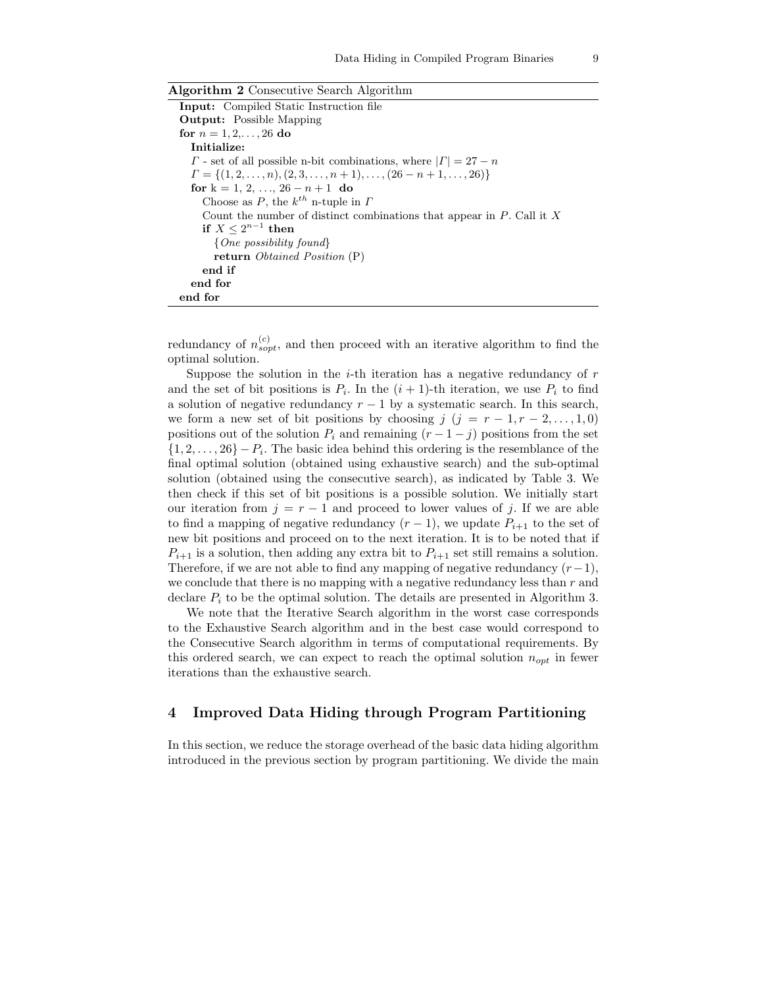| <b>Algorithm 2</b> Consecutive Search Algorithm                                          |
|------------------------------------------------------------------------------------------|
| <b>Input:</b> Compiled Static Instruction file                                           |
| <b>Output:</b> Possible Mapping                                                          |
| for $n = 1, 2, , 26$ do                                                                  |
| Initialize:                                                                              |
| $\Gamma$ - set of all possible n-bit combinations, where $ \Gamma  = 27 - n$             |
| $\Gamma = \{(1, 2, \ldots, n), (2, 3, \ldots, n+1), \ldots, (26 - n + 1, \ldots, 26)\}\$ |
| for $k = 1, 2, , 26 - n + 1$ do                                                          |
| Choose as P, the $k^{th}$ n-tuple in $\Gamma$                                            |
| Count the number of distinct combinations that appear in $P$ . Call it $X$               |
| if $X \leq 2^{n-1}$ then                                                                 |
| { $One possibility found$ }                                                              |
| <b>return</b> <i>Obtained Position</i> (P)                                               |
| end if                                                                                   |
| end for                                                                                  |
| end for                                                                                  |

redundancy of  $n_{sopt}^{(c)}$ , and then proceed with an iterative algorithm to find the optimal solution.

Suppose the solution in the *i*-th iteration has a negative redundancy of  $r$ and the set of bit positions is  $P_i$ . In the  $(i + 1)$ -th iteration, we use  $P_i$  to find a solution of negative redundancy  $r - 1$  by a systematic search. In this search, we form a new set of bit positions by choosing  $j$   $(j = r - 1, r - 2, \ldots, 1, 0)$ positions out of the solution  $P_i$  and remaining  $(r-1-j)$  positions from the set  $\{1, 2, \ldots, 26\}$  –  $P_i$ . The basic idea behind this ordering is the resemblance of the final optimal solution (obtained using exhaustive search) and the sub-optimal solution (obtained using the consecutive search), as indicated by Table 3. We then check if this set of bit positions is a possible solution. We initially start our iteration from  $j = r - 1$  and proceed to lower values of j. If we are able to find a mapping of negative redundancy  $(r-1)$ , we update  $P_{i+1}$  to the set of new bit positions and proceed on to the next iteration. It is to be noted that if  $P_{i+1}$  is a solution, then adding any extra bit to  $P_{i+1}$  set still remains a solution. Therefore, if we are not able to find any mapping of negative redundancy  $(r-1)$ , we conclude that there is no mapping with a negative redundancy less than  $r$  and declare  $P_i$  to be the optimal solution. The details are presented in Algorithm 3.

We note that the Iterative Search algorithm in the worst case corresponds to the Exhaustive Search algorithm and in the best case would correspond to the Consecutive Search algorithm in terms of computational requirements. By this ordered search, we can expect to reach the optimal solution  $n_{opt}$  in fewer iterations than the exhaustive search.

## **4 Improved Data Hiding through Program Partitioning**

In this section, we reduce the storage overhead of the basic data hiding algorithm introduced in the previous section by program partitioning. We divide the main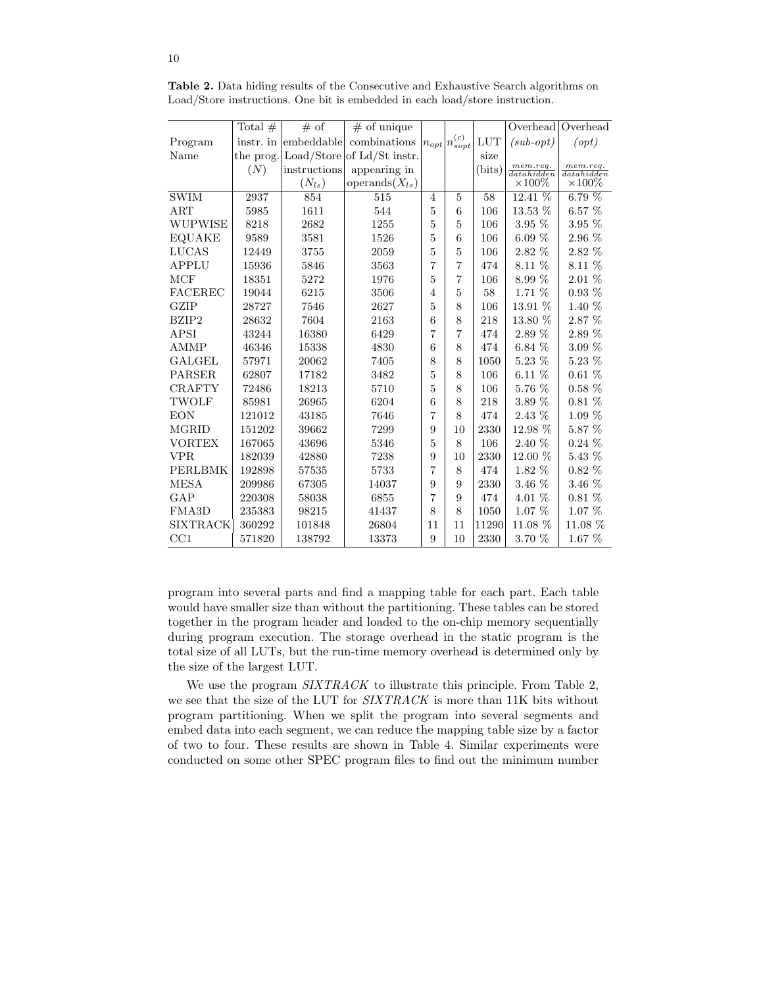|                 | Total $#$ | # of         | $#$ of unique              |                |                            |            |                          | Overhead   Overhead     |
|-----------------|-----------|--------------|----------------------------|----------------|----------------------------|------------|--------------------------|-------------------------|
| Program         | instr. in | embeddable   | combinations               |                | $n_{opt}$ $n_{soft}^{(c)}$ | <b>LUT</b> | $(sub-opt)$              | (opt)                   |
| Name            | the prog. |              | Load/Store of Ld/St instr. |                |                            | size       |                          |                         |
|                 | (N)       | instructions | appearing in               |                |                            | (bits)     | mem.read.<br>data hidden | mem.read.<br>datahidden |
|                 |           | $(N_{ls})$   | operands $(X_{ls})$        |                |                            |            | $\times 100\%$           | $\times 100\%$          |
| <b>SWIM</b>     | 2937      | 854          | 515                        | $\overline{4}$ | 5                          | 58         | 12.41 %                  | $6.79\%$                |
| ART             | 5985      | 1611         | 544                        | 5              | 6                          | 106        | 13.53 %                  | $6.57~\%$               |
| WUPWISE         | 8218      | 2682         | 1255                       | 5              | 5                          | 106        | $3.95~\%$                | $3.95~\%$               |
| <b>EQUAKE</b>   | 9589      | 3581         | 1526                       | 5              | 6                          | 106        | 6.09 $%$                 | $2.96\%$                |
| <b>LUCAS</b>    | 12449     | 3755         | $2059\,$                   | 5              | 5                          | 106        | $2.82~\%$                | $2.82\%$                |
| <b>APPLU</b>    | 15936     | 5846         | 3563                       | 7              | 7                          | 474        | $8.11~\%$                | $8.11\%$                |
| <b>MCF</b>      | 18351     | 5272         | 1976                       | 5              | $\overline{7}$             | 106        | 8.99 %                   | $2.01~\%$               |
| <b>FACEREC</b>  | 19044     | 6215         | 3506                       | 4              | 5                          | 58         | 1.71 %                   | $0.93~\%$               |
| <b>GZIP</b>     | 28727     | 7546         | 2627                       | 5              | 8                          | 106        | 13.91 %                  | $1.40\%$                |
| BZIP2           | 28632     | 7604         | 2163                       | 6              | 8                          | 218        | 13.80 %                  | $2.87~\%$               |
| <b>APSI</b>     | 43244     | 16380        | 6429                       | 7              | 7                          | 474        | $2.89\%$                 | $2.89\%$                |
| <b>AMMP</b>     | 46346     | 15338        | 4830                       | 6              | 8                          | 474        | 6.84 %                   | $3.09\%$                |
| <b>GALGEL</b>   | 57971     | 20062        | 7405                       | 8              | 8                          | 1050       | 5.23 %                   | 5.23 %                  |
| <b>PARSER</b>   | 62807     | 17182        | 3482                       | 5              | 8                          | 106        | 6.11 $%$                 | $0.61\%$                |
| <b>CRAFTY</b>   | 72486     | 18213        | 5710                       | 5              | 8                          | 106        | $5.76\%$                 | $0.58~\%$               |
| <b>TWOLF</b>    | 85981     | 26965        | 6204                       | 6              | 8                          | 218        | $3.89~\%$                | $0.81\%$                |
| <b>EON</b>      | 121012    | 43185        | 7646                       | 7              | 8                          | 474        | $2.43\%$                 | $1.09\%$                |
| <b>MGRID</b>    | 151202    | 39662        | 7299                       | 9              | 10                         | 2330       | 12.98 %                  | 5.87 %                  |
| <b>VORTEX</b>   | 167065    | 43696        | 5346                       | 5              | 8                          | 106        | $2.40~\%$                | $0.24\%$                |
| <b>VPR</b>      | 182039    | 42880        | 7238                       | 9              | 10                         | 2330       | 12.00 %                  | $5.43\%$                |
| <b>PERLBMK</b>  | 192898    | 57535        | 5733                       | 7              | 8                          | 474        | 1.82 %                   | $0.82\%$                |
| <b>MESA</b>     | 209986    | 67305        | 14037                      | 9              | 9                          | 2330       | $3.46\%$                 | $3.46\%$                |
| GAP             | 220308    | 58038        | 6855                       | 7              | 9                          | 474        | $4.01~\%$                | $0.81~\%$               |
| FMA3D           | 235383    | 98215        | 41437                      | 8              | 8                          | 1050       | $1.07~\%$                | 1.07 %                  |
| <b>SIXTRACK</b> | 360292    | 101848       | 26804                      | 11             | 11                         | 11290      | 11.08 %                  | $11.08~\%$              |
| CC1             | 571820    | 138792       | 13373                      | 9              | 10                         | 2330       | 3.70 %                   | 1.67 %                  |

**Table 2.** Data hiding results of the Consecutive and Exhaustive Search algorithms on Load/Store instructions. One bit is embedded in each load/store instruction.

program into several parts and find a mapping table for each part. Each table would have smaller size than without the partitioning. These tables can be stored together in the program header and loaded to the on-chip memory sequentially during program execution. The storage overhead in the static program is the total size of all LUTs, but the run-time memory overhead is determined only by the size of the largest LUT.

We use the program *SIXTRACK* to illustrate this principle. From Table 2, we see that the size of the LUT for *SIXTRACK* is more than 11K bits without program partitioning. When we split the program into several segments and embed data into each segment, we can reduce the mapping table size by a factor of two to four. These results are shown in Table 4. Similar experiments were conducted on some other SPEC program files to find out the minimum number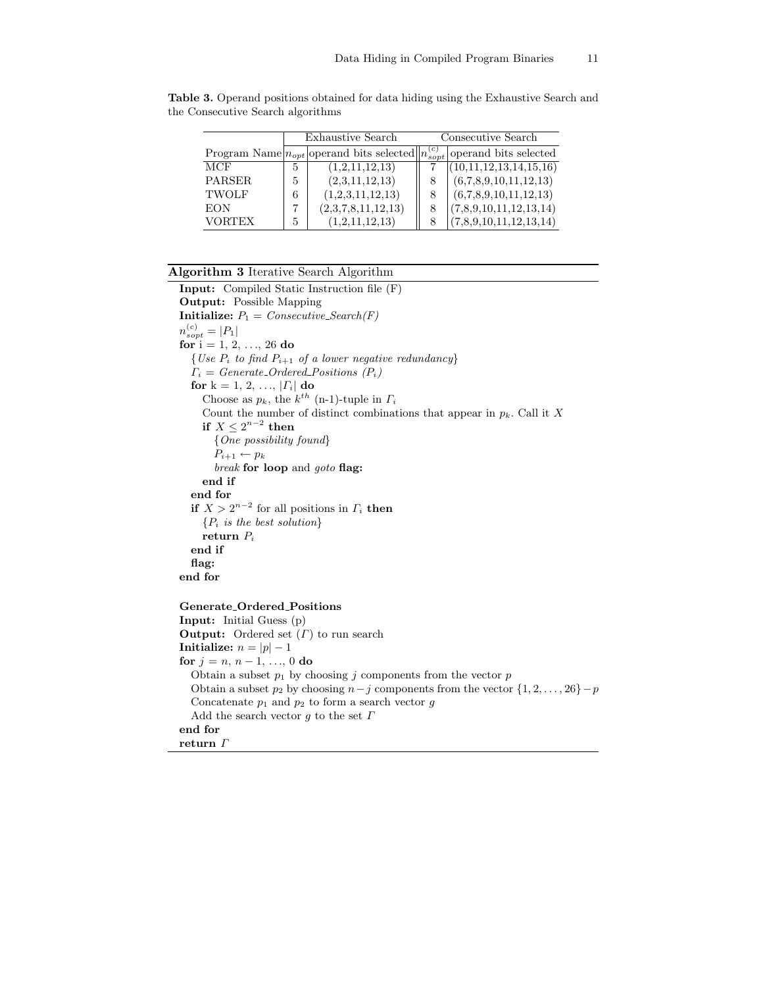|               |   | Exhaustive Search                                                                   | Consecutive Search |                        |  |
|---------------|---|-------------------------------------------------------------------------------------|--------------------|------------------------|--|
|               |   |                                                                                     |                    |                        |  |
|               |   | Program Name $n_{opt}$ operand bits selected $n_{soft}^{(c)}$ operand bits selected |                    |                        |  |
| MCF           | 5 | (1,2,11,12,13)                                                                      |                    | (10,11,12,13,14,15,16) |  |
| <b>PARSER</b> | 5 | (2,3,11,12,13)                                                                      | 8                  | (6,7,8,9,10,11,12,13)  |  |
| <b>TWOLF</b>  | 6 | (1,2,3,11,12,13)                                                                    | 8                  | (6,7,8,9,10,11,12,13)  |  |
| <b>EON</b>    |   | (2,3,7,8,11,12,13)                                                                  |                    | (7,8,9,10,11,12,13,14) |  |
| <b>VORTEX</b> | 5 | (1,2,11,12,13)                                                                      | 8                  | (7,8,9,10,11,12,13,14) |  |

**Table 3.** Operand positions obtained for data hiding using the Exhaustive Search and the Consecutive Search algorithms

## **Algorithm 3** Iterative Search Algorithm

```
Input: Compiled Static Instruction file (F)
Output: Possible Mapping
Initialize: P_1 = \text{Consecutive\_Search}(F)n_{sopt}^{(c)} = |P_1|<br>for i = 1, 2for i = 1, 2, ..., 26 do
  {Use P_i to find P_{i+1} of a lower negative redundancy}
  \Gamma_i = \text{Generate\_Ordered\_Positions}(P_i)for k = 1, 2, ..., |F_i| do
    Choose as p_k, the k^{th} (n-1)-tuple in \Gamma_iCount the number of distinct combinations that appear in p_k. Call it X
    if X \leq 2^{n-2} then
       {One possibility found}
       P_{i+1} \leftarrow p_kbreak for loop and goto flag:
    end if
  end for
  if X > 2^{n-2} for all positions in \Gamma_i then
    {Pi is the best solution}
    return Pi
  end if
  flag:
end for
Generate Ordered Positions
Input: Initial Guess (p)
Output: Ordered set (Γ) to run search
Initialize: n = |p| - 1for j = n, n - 1, ..., 0 do
  Obtain a subset p_1 by choosing j components from the vector pObtain a subset p_2 by choosing n-j components from the vector \{1, 2, ..., 26\} – p
  Concatenate p_1 and p_2 to form a search vector gAdd the search vector g to the set \Gammaend for
return Γ
```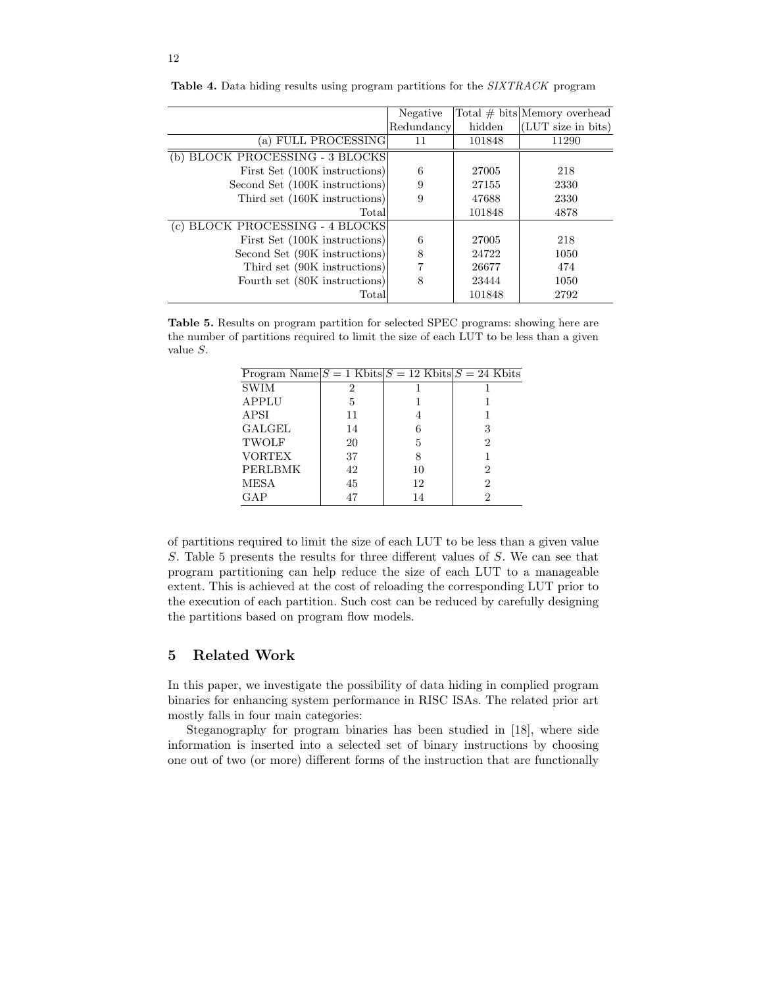|                                    | Negative   |        | Total $# \text{ bits}$ Memory overhead |
|------------------------------------|------------|--------|----------------------------------------|
|                                    | Redundancy | hidden | (LUT size in bits)                     |
| (a) FULL PROCESSING                | 11         | 101848 | 11290                                  |
| (b) BLOCK PROCESSING - 3 BLOCKS    |            |        |                                        |
| First Set (100K instructions)      | 6          | 27005  | 218                                    |
| Second Set (100K instructions)     | 9          | 27155  | 2330                                   |
| Third set (160K instructions)      | 9          | 47688  | 2330                                   |
| Total                              |            | 101848 | 4878                                   |
| BLOCK PROCESSING - 4 BLOCKS<br>(c) |            |        |                                        |
| First Set (100K instructions)      | 6          | 27005  | 218                                    |
| Second Set (90K instructions)      | 8          | 24722  | 1050                                   |
| Third set (90K instructions)       | 7          | 26677  | 474                                    |
| Fourth set (80K instructions)      | 8          | 23444  | 1050                                   |
| Total                              |            | 101848 | 2792                                   |

**Table 4.** Data hiding results using program partitions for the *SIXTRACK* program

**Table 5.** Results on program partition for selected SPEC programs: showing here are the number of partitions required to limit the size of each LUT to be less than a given value S.

| Program Name $ S = 1$ Kbits $ S = 12$ Kbits $ S = 24$ Kbits |    |    |                |
|-------------------------------------------------------------|----|----|----------------|
| <b>SWIM</b>                                                 | 2  |    |                |
| APPLU                                                       | 5  |    |                |
| APSI                                                        | 11 |    |                |
| GALGEL                                                      | 14 |    | 3              |
| <b>TWOLF</b>                                                | 20 | 5  | $\overline{2}$ |
| <b>VORTEX</b>                                               | 37 |    |                |
| PERLBMK                                                     | 42 | 10 | $\overline{2}$ |
| MESA                                                        | 45 | 12 | $\overline{2}$ |
| GAP                                                         | 47 | 14 | 2              |

of partitions required to limit the size of each LUT to be less than a given value S. Table 5 presents the results for three different values of S. We can see that program partitioning can help reduce the size of each LUT to a manageable extent. This is achieved at the cost of reloading the corresponding LUT prior to the execution of each partition. Such cost can be reduced by carefully designing the partitions based on program flow models.

## **5 Related Work**

In this paper, we investigate the possibility of data hiding in complied program binaries for enhancing system performance in RISC ISAs. The related prior art mostly falls in four main categories:

Steganography for program binaries has been studied in [18], where side information is inserted into a selected set of binary instructions by choosing one out of two (or more) different forms of the instruction that are functionally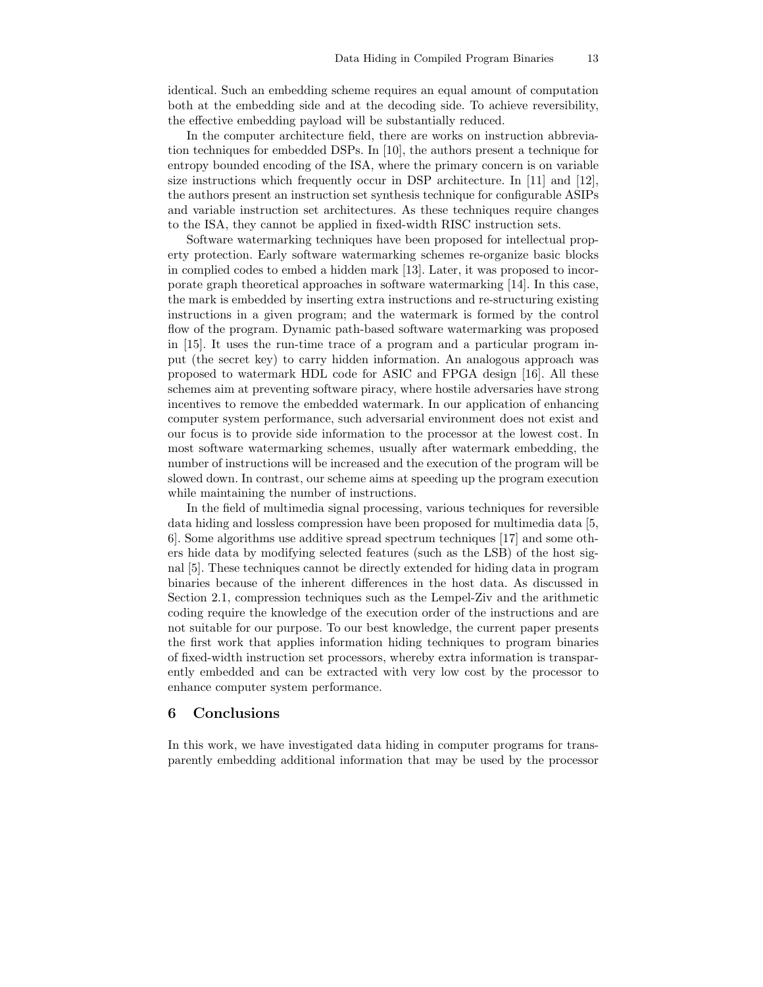identical. Such an embedding scheme requires an equal amount of computation both at the embedding side and at the decoding side. To achieve reversibility, the effective embedding payload will be substantially reduced.

In the computer architecture field, there are works on instruction abbreviation techniques for embedded DSPs. In [10], the authors present a technique for entropy bounded encoding of the ISA, where the primary concern is on variable size instructions which frequently occur in DSP architecture. In [11] and [12], the authors present an instruction set synthesis technique for configurable ASIPs and variable instruction set architectures. As these techniques require changes to the ISA, they cannot be applied in fixed-width RISC instruction sets.

Software watermarking techniques have been proposed for intellectual property protection. Early software watermarking schemes re-organize basic blocks in complied codes to embed a hidden mark [13]. Later, it was proposed to incorporate graph theoretical approaches in software watermarking [14]. In this case, the mark is embedded by inserting extra instructions and re-structuring existing instructions in a given program; and the watermark is formed by the control flow of the program. Dynamic path-based software watermarking was proposed in [15]. It uses the run-time trace of a program and a particular program input (the secret key) to carry hidden information. An analogous approach was proposed to watermark HDL code for ASIC and FPGA design [16]. All these schemes aim at preventing software piracy, where hostile adversaries have strong incentives to remove the embedded watermark. In our application of enhancing computer system performance, such adversarial environment does not exist and our focus is to provide side information to the processor at the lowest cost. In most software watermarking schemes, usually after watermark embedding, the number of instructions will be increased and the execution of the program will be slowed down. In contrast, our scheme aims at speeding up the program execution while maintaining the number of instructions.

In the field of multimedia signal processing, various techniques for reversible data hiding and lossless compression have been proposed for multimedia data [5, 6]. Some algorithms use additive spread spectrum techniques [17] and some others hide data by modifying selected features (such as the LSB) of the host signal [5]. These techniques cannot be directly extended for hiding data in program binaries because of the inherent differences in the host data. As discussed in Section 2.1, compression techniques such as the Lempel-Ziv and the arithmetic coding require the knowledge of the execution order of the instructions and are not suitable for our purpose. To our best knowledge, the current paper presents the first work that applies information hiding techniques to program binaries of fixed-width instruction set processors, whereby extra information is transparently embedded and can be extracted with very low cost by the processor to enhance computer system performance.

## **6 Conclusions**

In this work, we have investigated data hiding in computer programs for transparently embedding additional information that may be used by the processor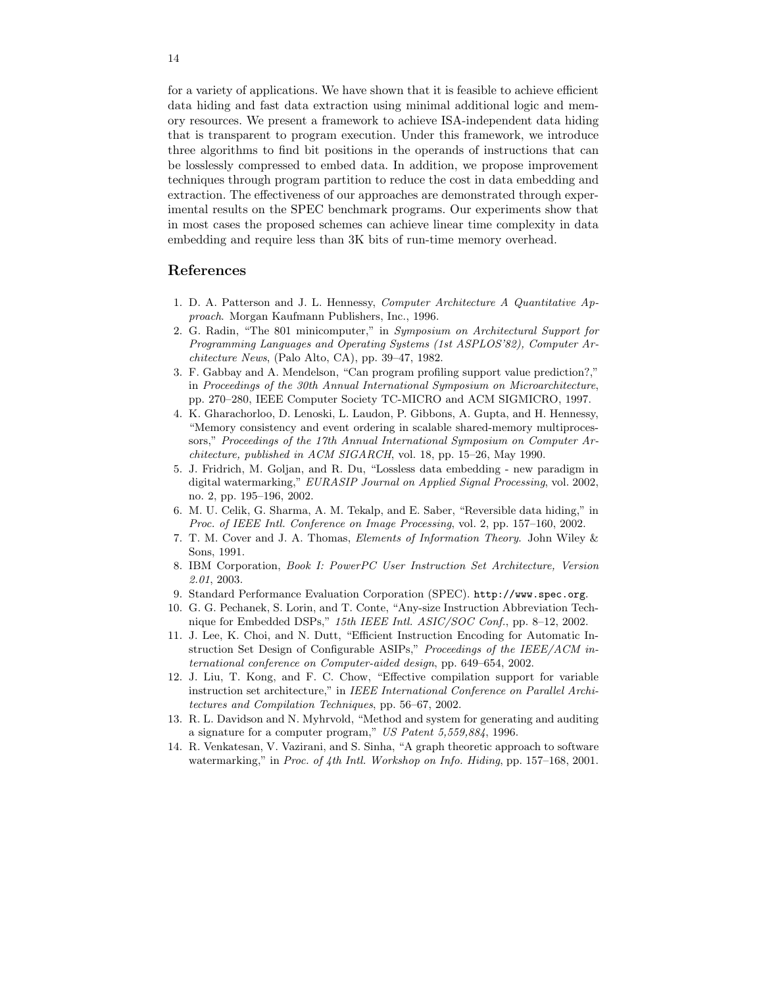for a variety of applications. We have shown that it is feasible to achieve efficient data hiding and fast data extraction using minimal additional logic and memory resources. We present a framework to achieve ISA-independent data hiding that is transparent to program execution. Under this framework, we introduce three algorithms to find bit positions in the operands of instructions that can be losslessly compressed to embed data. In addition, we propose improvement techniques through program partition to reduce the cost in data embedding and extraction. The effectiveness of our approaches are demonstrated through experimental results on the SPEC benchmark programs. Our experiments show that in most cases the proposed schemes can achieve linear time complexity in data embedding and require less than 3K bits of run-time memory overhead.

## **References**

- 1. D. A. Patterson and J. L. Hennessy, *Computer Architecture A Quantitative Approach*. Morgan Kaufmann Publishers, Inc., 1996.
- 2. G. Radin, "The 801 minicomputer," in *Symposium on Architectural Support for Programming Languages and Operating Systems (1st ASPLOS'82), Computer Architecture News*, (Palo Alto, CA), pp. 39–47, 1982.
- 3. F. Gabbay and A. Mendelson, "Can program profiling support value prediction?," in *Proceedings of the 30th Annual International Symposium on Microarchitecture*, pp. 270–280, IEEE Computer Society TC-MICRO and ACM SIGMICRO, 1997.
- 4. K. Gharachorloo, D. Lenoski, L. Laudon, P. Gibbons, A. Gupta, and H. Hennessy, "Memory consistency and event ordering in scalable shared-memory multiprocessors," *Proceedings of the 17th Annual International Symposium on Computer Architecture, published in ACM SIGARCH*, vol. 18, pp. 15–26, May 1990.
- 5. J. Fridrich, M. Goljan, and R. Du, "Lossless data embedding new paradigm in digital watermarking," *EURASIP Journal on Applied Signal Processing*, vol. 2002, no. 2, pp. 195–196, 2002.
- 6. M. U. Celik, G. Sharma, A. M. Tekalp, and E. Saber, "Reversible data hiding," in *Proc. of IEEE Intl. Conference on Image Processing*, vol. 2, pp. 157–160, 2002.
- 7. T. M. Cover and J. A. Thomas, *Elements of Information Theory*. John Wiley & Sons, 1991.
- 8. IBM Corporation, *Book I: PowerPC User Instruction Set Architecture, Version 2.01*, 2003.
- 9. Standard Performance Evaluation Corporation (SPEC). http://www.spec.org.
- 10. G. G. Pechanek, S. Lorin, and T. Conte, "Any-size Instruction Abbreviation Technique for Embedded DSPs," *15th IEEE Intl. ASIC/SOC Conf.*, pp. 8–12, 2002.
- 11. J. Lee, K. Choi, and N. Dutt, "Efficient Instruction Encoding for Automatic Instruction Set Design of Configurable ASIPs," *Proceedings of the IEEE/ACM international conference on Computer-aided design*, pp. 649–654, 2002.
- 12. J. Liu, T. Kong, and F. C. Chow, "Effective compilation support for variable instruction set architecture," in *IEEE International Conference on Parallel Architectures and Compilation Techniques*, pp. 56–67, 2002.
- 13. R. L. Davidson and N. Myhrvold, "Method and system for generating and auditing a signature for a computer program," *US Patent 5,559,884*, 1996.
- 14. R. Venkatesan, V. Vazirani, and S. Sinha, "A graph theoretic approach to software watermarking," in *Proc. of 4th Intl. Workshop on Info. Hiding*, pp. 157–168, 2001.